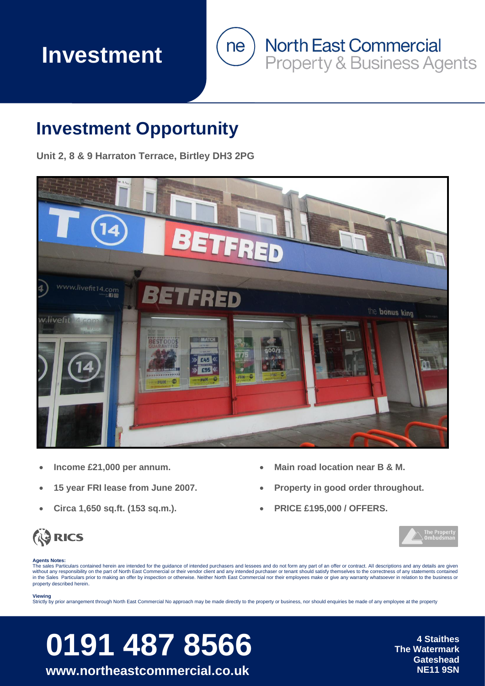## **Investment**



### **Investment Opportunity**

**Unit 2, 8 & 9 Harraton Terrace, Birtley DH3 2PG**



- **Income £21,000 per annum.**
- **15 year FRI lease from June 2007.**
- **Circa 1,650 sq.ft. (153 sq.m.).**
- **Main road location near B & M.**
- **Property in good order throughout.**
- **PRICE £195,000 / OFFERS.**





#### **Agents Notes:**

The sales Particulars contained herein are intended for the quidance of intended purchasers and lessees and do not form any part of an offer or contract. All descriptions and any details are given without any responsibility on the part of North East Commercial or their vendor client and any intended purchaser or tenant should satisfy themselves to the correctness of any statements contained in the Sales Particulars prior to making an offer by inspection or otherwise. Neither North East Commercial nor their employees make or give any warranty whatsoever in relation to the business or property described herein.

#### **Viewing**

Strictly by prior arrangement through North East Commercial No approach may be made directly to the property or business, nor should enquiries be made of any employee at the property

# **0191 487 8566** The Watermark

**www.northeastcommercial.co.uk NE11 9SN** 

**The Watermark Gateshead**